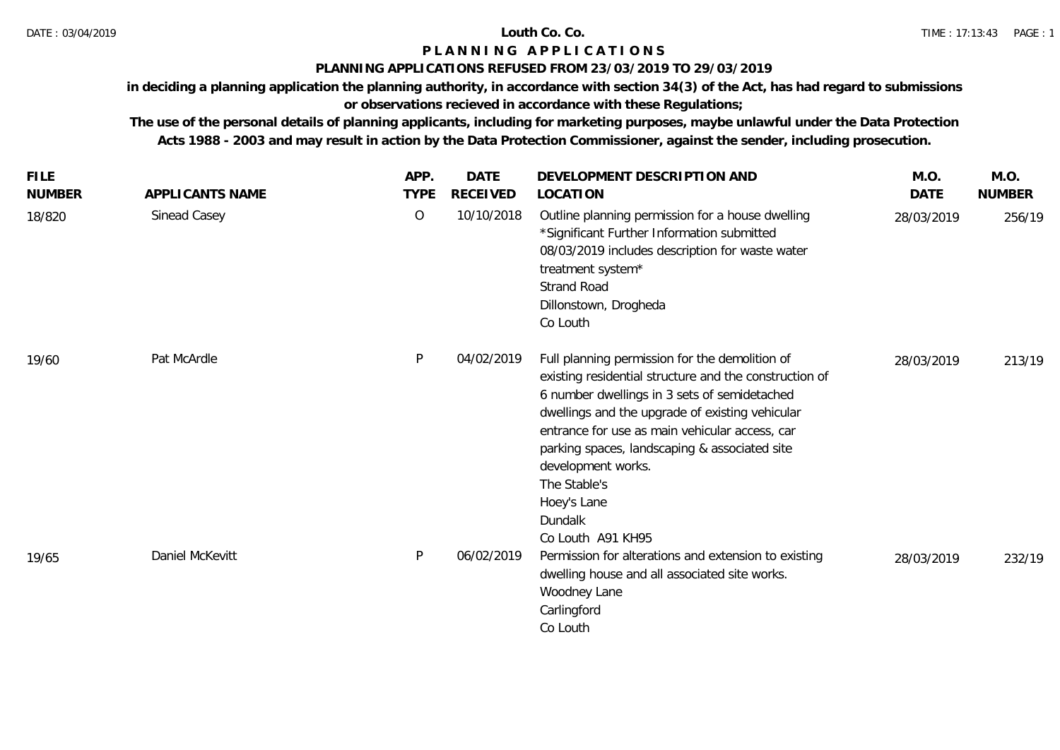## **P L A N N I N G A P P L I C A T I O N S**

### **PLANNING APPLICATIONS REFUSED FROM 23/03/2019 TO 29/03/2019**

**in deciding a planning application the planning authority, in accordance with section 34(3) of the Act, has had regard to submissions** 

# **or observations recieved in accordance with these Regulations;**

**The use of the personal details of planning applicants, including for marketing purposes, maybe unlawful under the Data Protection Acts 1988 - 2003 and may result in action by the Data Protection Commissioner, against the sender, including prosecution.**

| <b>FILE</b><br><b>NUMBER</b> | APPLICANTS NAME | APP.<br><b>TYPE</b> | <b>DATE</b><br><b>RECEIVED</b> | DEVELOPMENT DESCRIPTION AND<br><b>LOCATION</b>                                                                                                                                                                                                                                                                                                                                 | M.O.<br><b>DATE</b> | M.O.<br><b>NUMBER</b> |
|------------------------------|-----------------|---------------------|--------------------------------|--------------------------------------------------------------------------------------------------------------------------------------------------------------------------------------------------------------------------------------------------------------------------------------------------------------------------------------------------------------------------------|---------------------|-----------------------|
| 18/820                       | Sinead Casey    | $\circ$             | 10/10/2018                     | Outline planning permission for a house dwelling<br>*Significant Further Information submitted<br>08/03/2019 includes description for waste water<br>treatment system*<br><b>Strand Road</b><br>Dillonstown, Drogheda<br>Co Louth                                                                                                                                              | 28/03/2019          | 256/19                |
| 19/60                        | Pat McArdle     | P                   | 04/02/2019                     | Full planning permission for the demolition of<br>existing residential structure and the construction of<br>6 number dwellings in 3 sets of semidetached<br>dwellings and the upgrade of existing vehicular<br>entrance for use as main vehicular access, car<br>parking spaces, landscaping & associated site<br>development works.<br>The Stable's<br>Hoey's Lane<br>Dundalk | 28/03/2019          | 213/19                |
| 19/65                        | Daniel McKevitt | P                   | 06/02/2019                     | Co Louth A91 KH95<br>Permission for alterations and extension to existing<br>dwelling house and all associated site works.<br>Woodney Lane<br>Carlingford<br>Co Louth                                                                                                                                                                                                          | 28/03/2019          | 232/19                |